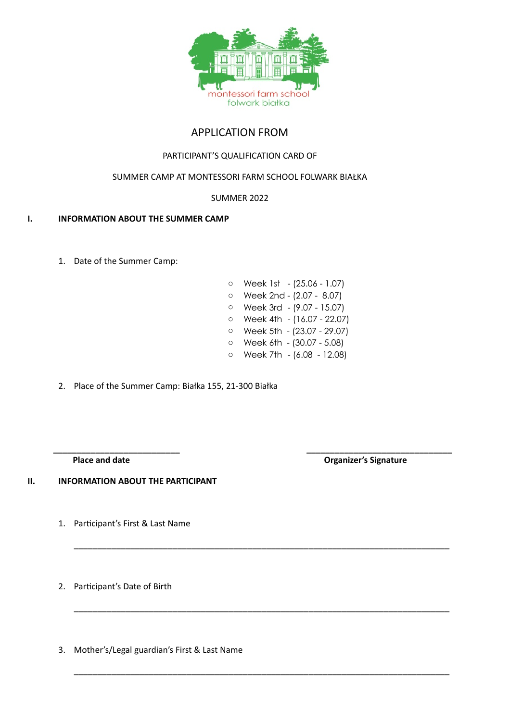

# APPLICATION FROM

### PARTICIPANT'S QUALIFICATION CARD OF

## SUMMER CAMP AT MONTESSORI FARM SCHOOL FOLWARK BIAŁKA

#### SUMMER 2022

#### **I. INFORMATION ABOUT THE SUMMER CAMP**

1. Date of the Summer Camp:

| $\circ$ | Week 1st - (25.06 - 1.07)  |
|---------|----------------------------|
| $\circ$ | Week 2nd - (2.07 - 8.07)   |
| $\circ$ | Week 3rd - (9.07 - 15.07)  |
| $\circ$ | Week 4th - (16.07 - 22.07) |
| $\circ$ | Week 5th - (23.07 - 29.07) |
| $\circ$ | Week 6th - (30.07 - 5.08)  |
| $\circ$ | Week 7th - (6.08 - 12.08)  |

\_\_\_\_\_\_\_\_\_\_\_\_\_\_\_\_\_\_\_\_\_\_\_\_\_\_\_\_\_\_\_\_\_\_\_\_\_\_\_\_\_\_\_\_\_\_\_\_\_\_\_\_\_\_\_\_\_\_\_\_\_\_\_\_\_\_\_\_\_\_\_\_\_\_\_\_\_\_\_\_

\_\_\_\_\_\_\_\_\_\_\_\_\_\_\_\_\_\_\_\_\_\_\_\_\_\_\_\_\_\_\_\_\_\_\_\_\_\_\_\_\_\_\_\_\_\_\_\_\_\_\_\_\_\_\_\_\_\_\_\_\_\_\_\_\_\_\_\_\_\_\_\_\_\_\_\_\_\_\_\_

\_\_\_\_\_\_\_\_\_\_\_\_\_\_\_\_\_\_\_\_\_\_\_\_\_\_\_\_\_\_\_\_\_\_\_\_\_\_\_\_\_\_\_\_\_\_\_\_\_\_\_\_\_\_\_\_\_\_\_\_\_\_\_\_\_\_\_\_\_\_\_\_\_\_\_\_\_\_\_\_

2. Place of the Summer Camp: Białka 155, 21-300 Białka

**\_\_\_\_\_\_\_\_\_\_\_\_\_\_\_\_\_\_\_\_\_\_\_\_\_\_\_ \_\_\_\_\_\_\_\_\_\_\_\_\_\_\_\_\_\_\_\_\_\_\_\_\_\_\_\_\_\_\_**

**Place and date Community Community Community Community Community Community Community Community Community Community Community Community Community Community Community Community Community Community Community Community Commun** 

**II. INFORMATION ABOUT THE PARTICIPANT**

- 1. Participant's First & Last Name
- 2. Participant's Date of Birth

3. Mother's/Legal guardian's First & Last Name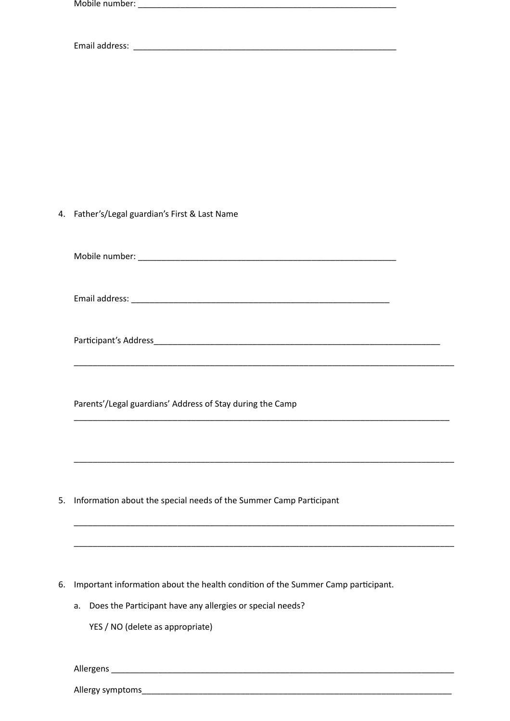|    | 4. Father's/Legal guardian's First & Last Name                                   |
|----|----------------------------------------------------------------------------------|
|    |                                                                                  |
|    |                                                                                  |
|    |                                                                                  |
|    |                                                                                  |
|    |                                                                                  |
|    | Parents'/Legal guardians' Address of Stay during the Camp                        |
|    |                                                                                  |
|    |                                                                                  |
| 5. | Information about the special needs of the Summer Camp Participant               |
|    |                                                                                  |
|    |                                                                                  |
| 6. | Important information about the health condition of the Summer Camp participant. |
|    | Does the Participant have any allergies or special needs?<br>a.                  |
|    | YES / NO (delete as appropriate)                                                 |
|    |                                                                                  |

Allergy symptoms\_\_\_\_\_\_

Allergens \_\_\_\_\_\_\_\_\_\_\_\_\_\_\_\_\_\_\_\_\_\_\_\_\_\_\_\_\_\_\_\_\_\_\_\_\_\_\_\_\_\_\_\_\_\_\_\_\_\_\_\_\_\_\_\_\_\_\_\_\_\_\_\_\_\_\_\_\_\_\_\_\_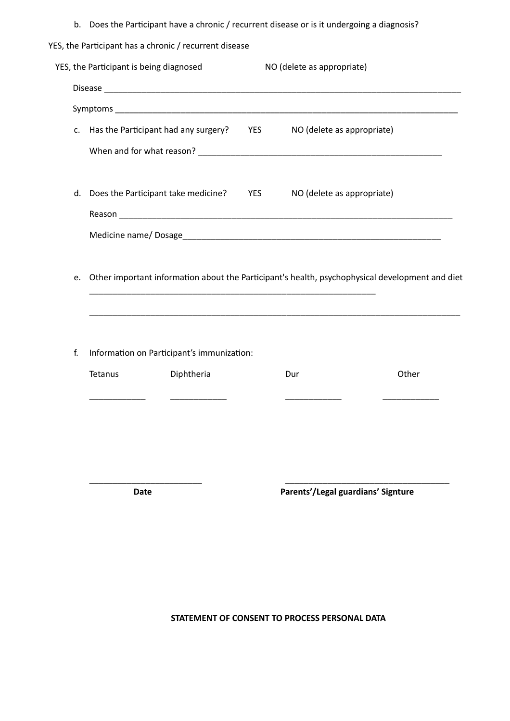b. Does the Participant have a chronic / recurrent disease or is it undergoing a diagnosis?

| YES, the Participant has a chronic / recurrent disease |  |
|--------------------------------------------------------|--|
|--------------------------------------------------------|--|

|    |                                            | c. Has the Participant had any surgery? YES                                                                                                                       | NO (delete as appropriate) |       |
|----|--------------------------------------------|-------------------------------------------------------------------------------------------------------------------------------------------------------------------|----------------------------|-------|
|    |                                            |                                                                                                                                                                   |                            |       |
|    | d. Does the Participant take medicine? YES |                                                                                                                                                                   | NO (delete as appropriate) |       |
|    |                                            |                                                                                                                                                                   |                            |       |
|    |                                            |                                                                                                                                                                   |                            |       |
|    |                                            | e. Other important information about the Participant's health, psychophysical development and diet<br><u> 1989 - Johann Stoff, amerikansk politiker (d. 1989)</u> |                            |       |
|    |                                            |                                                                                                                                                                   |                            |       |
|    |                                            | Information on Participant's immunization:                                                                                                                        |                            |       |
| f. | Tetanus                                    | Diphtheria                                                                                                                                                        | Dur                        | Other |
|    |                                            |                                                                                                                                                                   |                            |       |
|    |                                            |                                                                                                                                                                   |                            |       |

**Date Parents'/Legal guardians' Signture**

**STATEMENT OF CONSENT TO PROCESS PERSONAL DATA**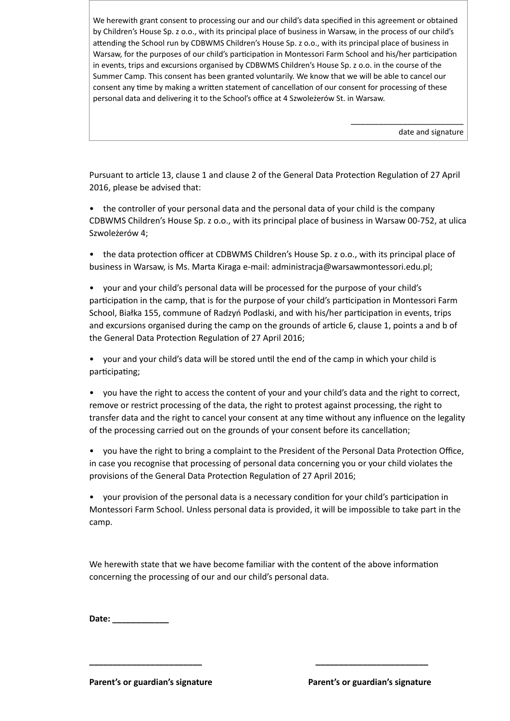We herewith grant consent to processing our and our child's data specified in this agreement or obtained by Children's House Sp. z o.o., with its principal place of business in Warsaw, in the process of our child's attending the School run by CDBWMS Children's House Sp. z o.o., with its principal place of business in Warsaw, for the purposes of our child's participation in Montessori Farm School and his/her participation in events, trips and excursions organised by CDBWMS Children's House Sp. z o.o. in the course of the Summer Camp. This consent has been granted voluntarily. We know that we will be able to cancel our consent any time by making a written statement of cancellation of our consent for processing of these personal data and delivering it to the School's office at 4 Szwoleżerów St. in Warsaw.

date and signature

\_\_\_\_\_\_\_\_\_\_\_\_\_\_\_\_\_\_\_\_\_\_\_\_

Pursuant to article 13, clause 1 and clause 2 of the General Data Protection Regulation of 27 April 2016, please be advised that:

• the controller of your personal data and the personal data of your child is the company CDBWMS Children's House Sp. z o.o., with its principal place of business in Warsaw 00-752, at ulica Szwoleżerów 4;

- the data protection officer at CDBWMS Children's House Sp. z o.o., with its principal place of business in Warsaw, is Ms. Marta Kiraga e-mail: administracja@warsawmontessori.edu.pl;
- your and your child's personal data will be processed for the purpose of your child's participation in the camp, that is for the purpose of your child's participation in Montessori Farm School, Białka 155, commune of Radzyń Podlaski, and with his/her participation in events, trips and excursions organised during the camp on the grounds of article 6, clause 1, points a and b of the General Data Protection Regulation of 27 April 2016;
- your and your child's data will be stored until the end of the camp in which your child is participating;
- you have the right to access the content of your and your child's data and the right to correct, remove or restrict processing of the data, the right to protest against processing, the right to transfer data and the right to cancel your consent at any time without any influence on the legality of the processing carried out on the grounds of your consent before its cancellation;
- you have the right to bring a complaint to the President of the Personal Data Protection Office, in case you recognise that processing of personal data concerning you or your child violates the provisions of the General Data Protection Regulation of 27 April 2016;

• your provision of the personal data is a necessary condition for your child's participation in Montessori Farm School. Unless personal data is provided, it will be impossible to take part in the camp.

We herewith state that we have become familiar with the content of the above information concerning the processing of our and our child's personal data.

**\_\_\_\_\_\_\_\_\_\_\_\_\_\_\_\_\_\_\_\_\_\_\_\_ \_\_\_\_\_\_\_\_\_\_\_\_\_\_\_\_\_\_\_\_\_\_\_\_**

| Date: |  |  |
|-------|--|--|
|       |  |  |